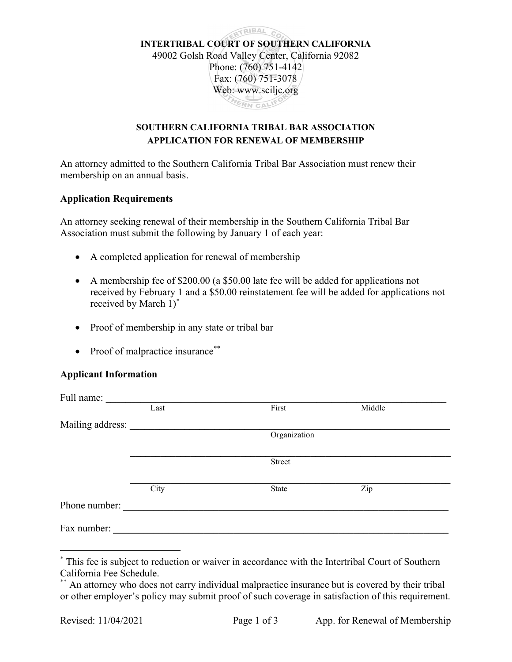

## SOUTHERN CALIFORNIA TRIBAL BAR ASSOCIATION APPLICATION FOR RENEWAL OF MEMBERSHIP

An attorney admitted to the Southern California Tribal Bar Association must renew their membership on an annual basis.

#### Application Requirements

An attorney seeking renewal of their membership in the Southern California Tribal Bar Association must submit the following by January 1 of each year:

- A completed application for renewal of membership
- A membership fee of \$200.00 (a \$50.00 late fee will be added for applications not received by February 1 and a \$50.00 reinstatement fee will be added for applications not received by March 1)\*
- Proof of membership in any state or tribal bar
- Proof of malpractice insurance\*\*

### Applicant Information

| Full name:       |      |               |        |  |
|------------------|------|---------------|--------|--|
|                  | Last | First         | Middle |  |
| Mailing address: |      |               |        |  |
|                  |      | Organization  |        |  |
|                  |      |               |        |  |
|                  |      | <b>Street</b> |        |  |
|                  |      |               |        |  |
|                  | City | State         | Zip    |  |
| Phone number:    |      |               |        |  |
| Fax number:      |      |               |        |  |

<sup>\*</sup> This fee is subject to reduction or waiver in accordance with the Intertribal Court of Southern California Fee Schedule.

<sup>\*\*</sup> An attorney who does not carry individual malpractice insurance but is covered by their tribal or other employer's policy may submit proof of such coverage in satisfaction of this requirement.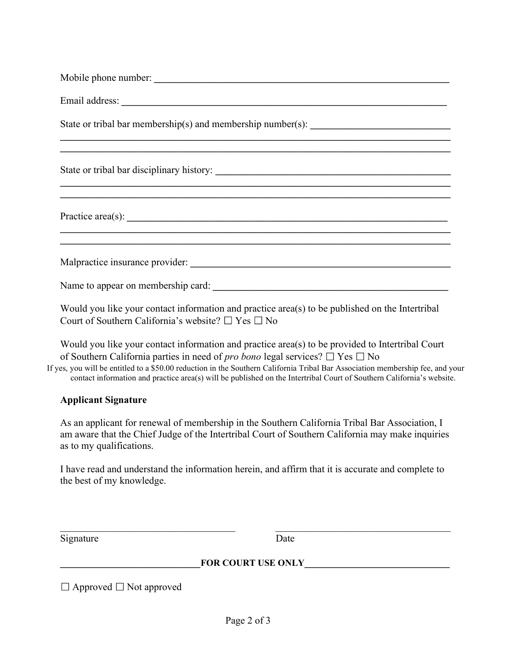| ,我们也不能在这里的时候,我们也不能在这里的时候,我们也不能不能不能不能不能不能不能不能不能不能不能不能不能不能不能。""我们,我们也不能不能不能不能不能不能不能               |  |  |  |
|-------------------------------------------------------------------------------------------------|--|--|--|
|                                                                                                 |  |  |  |
|                                                                                                 |  |  |  |
|                                                                                                 |  |  |  |
| Would you like your contact information and practice area(s) to be published on the Intertribal |  |  |  |

Court of Southern California's website?  $\Box$  Yes  $\Box$  No

Would you like your contact information and practice area(s) to be provided to Intertribal Court of Southern California parties in need of *pro bono* legal services?  $\Box$  Yes  $\Box$  No

If yes, you will be entitled to a \$50.00 reduction in the Southern California Tribal Bar Association membership fee, and your contact information and practice area(s) will be published on the Intertribal Court of Southern California's website.

### Applicant Signature

As an applicant for renewal of membership in the Southern California Tribal Bar Association, I am aware that the Chief Judge of the Intertribal Court of Southern California may make inquiries as to my qualifications.

I have read and understand the information herein, and affirm that it is accurate and complete to the best of my knowledge.

Signature Date

# FOR COURT USE ONLY

 $\_$  , and the contribution of the contribution of  $\overline{\mathcal{L}}$  , and  $\overline{\mathcal{L}}$  , and  $\overline{\mathcal{L}}$  , and  $\overline{\mathcal{L}}$ 

□ Approved □ Not approved